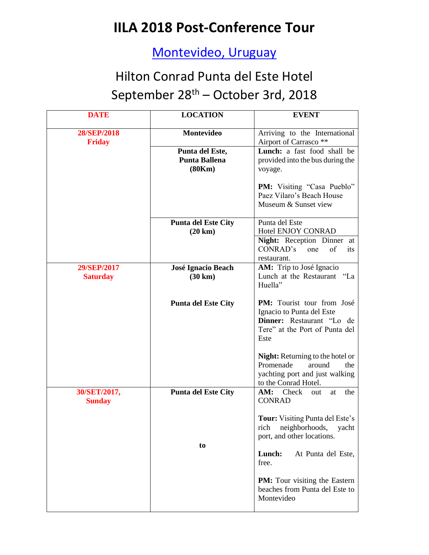# **IILA 2018 Post-Conference Tour**

### [Montevideo, Uruguay](https://en.wikipedia.org/wiki/Montevideo)

# Hilton Conrad Punta del Este Hotel September 28<sup>th</sup> – October 3rd, 2018

| <b>DATE</b>                    | <b>LOCATION</b>                                                                         | <b>EVENT</b>                                                                                                                    |  |  |
|--------------------------------|-----------------------------------------------------------------------------------------|---------------------------------------------------------------------------------------------------------------------------------|--|--|
| 28/SEP/2018<br><b>Friday</b>   | Montevideo                                                                              | Arriving to the International<br>Airport of Carrasco **                                                                         |  |  |
|                                | Punta del Este,<br><b>Punta Ballena</b><br>(80Km)                                       | Lunch: a fast food shall be<br>provided into the bus during the<br>voyage.                                                      |  |  |
|                                | <b>PM:</b> Visiting "Casa Pueblo"<br>Paez Vilaro's Beach House<br>Museum & Sunset view  |                                                                                                                                 |  |  |
|                                | Punta del Este<br><b>Punta del Este City</b><br>Hotel ENJOY CONRAD<br>$(20 \text{ km})$ |                                                                                                                                 |  |  |
|                                |                                                                                         | Night: Reception Dinner at<br>CONRAD's<br>of<br>one<br>its<br>restaurant.                                                       |  |  |
| 29/SEP/2017<br><b>Saturday</b> | <b>José Ignacio Beach</b><br>$(30 \text{ km})$                                          | AM: Trip to José Ignacio<br>Lunch at the Restaurant "La<br>Huella"                                                              |  |  |
|                                | <b>Punta del Este City</b>                                                              | PM: Tourist tour from José<br>Ignacio to Punta del Este<br>Dinner: Restaurant "Lo de<br>Tere" at the Port of Punta del<br>Este  |  |  |
|                                |                                                                                         | <b>Night:</b> Returning to the hotel or<br>Promenade<br>around<br>the<br>yachting port and just walking<br>to the Conrad Hotel. |  |  |
| 30/SET/2017,<br><b>Sunday</b>  | <b>Punta del Este City</b>                                                              | AM:<br>Check<br>the<br>out<br>at<br><b>CONRAD</b>                                                                               |  |  |
|                                | to                                                                                      | <b>Tour:</b> Visiting Punta del Este's<br>neighborhoods,<br>rich<br>yacht<br>port, and other locations.                         |  |  |
|                                |                                                                                         | Lunch:<br>At Punta del Este,<br>free.<br><b>PM:</b> Tour visiting the Eastern<br>beaches from Punta del Este to<br>Montevideo   |  |  |
|                                |                                                                                         |                                                                                                                                 |  |  |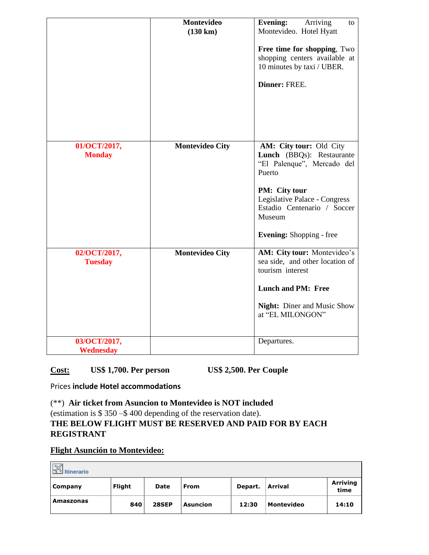|                                | Montevideo<br>$(130 \text{ km})$ | <b>Evening:</b><br>Arriving<br>to<br>Montevideo. Hotel Hyatt<br>Free time for shopping, Two<br>shopping centers available at<br>10 minutes by taxi / UBER.<br>Dinner: FREE.                                                |
|--------------------------------|----------------------------------|----------------------------------------------------------------------------------------------------------------------------------------------------------------------------------------------------------------------------|
| 01/OCT/2017,<br><b>Monday</b>  | <b>Montevideo City</b>           | AM: City tour: Old City<br>Lunch (BBQs): Restaurante<br>"El Palenque", Mercado del<br>Puerto<br>PM: City tour<br>Legislative Palace - Congress<br>Estadio Centenario / Soccer<br>Museum<br><b>Evening:</b> Shopping - free |
| 02/OCT/2017,<br><b>Tuesday</b> | <b>Montevideo City</b>           | AM: City tour: Montevideo's<br>sea side, and other location of<br>tourism interest<br><b>Lunch and PM: Free</b><br><b>Night:</b> Diner and Music Show<br>at "EL MILONGON"                                                  |
| 03/OCT/2017,<br>Wednesday      |                                  | Departures.                                                                                                                                                                                                                |

#### **Cost: US\$ 1,700. Per person US\$ 2,500. Per Couple**

#### Prices **include Hotel accommodations**

(\*\*) **Air ticket from Asuncion to Montevideo is NOT included** (estimation is \$ 350 –\$ 400 depending of the reservation date). **THE BELOW FLIGHT MUST BE RESERVED AND PAID FOR BY EACH REGISTRANT**

### **Flight Asunción to Montevideo:**

| <b>Itinerario</b> |               |       |                 |         |                |                         |
|-------------------|---------------|-------|-----------------|---------|----------------|-------------------------|
| Company           | <b>Flight</b> | Date  | From            | Depart. | <b>Arrival</b> | <b>Arriving</b><br>time |
| <b>Amaszonas</b>  | 840           | 28SEP | <b>Asuncion</b> | 12:30   | Montevideo     | 14:10                   |